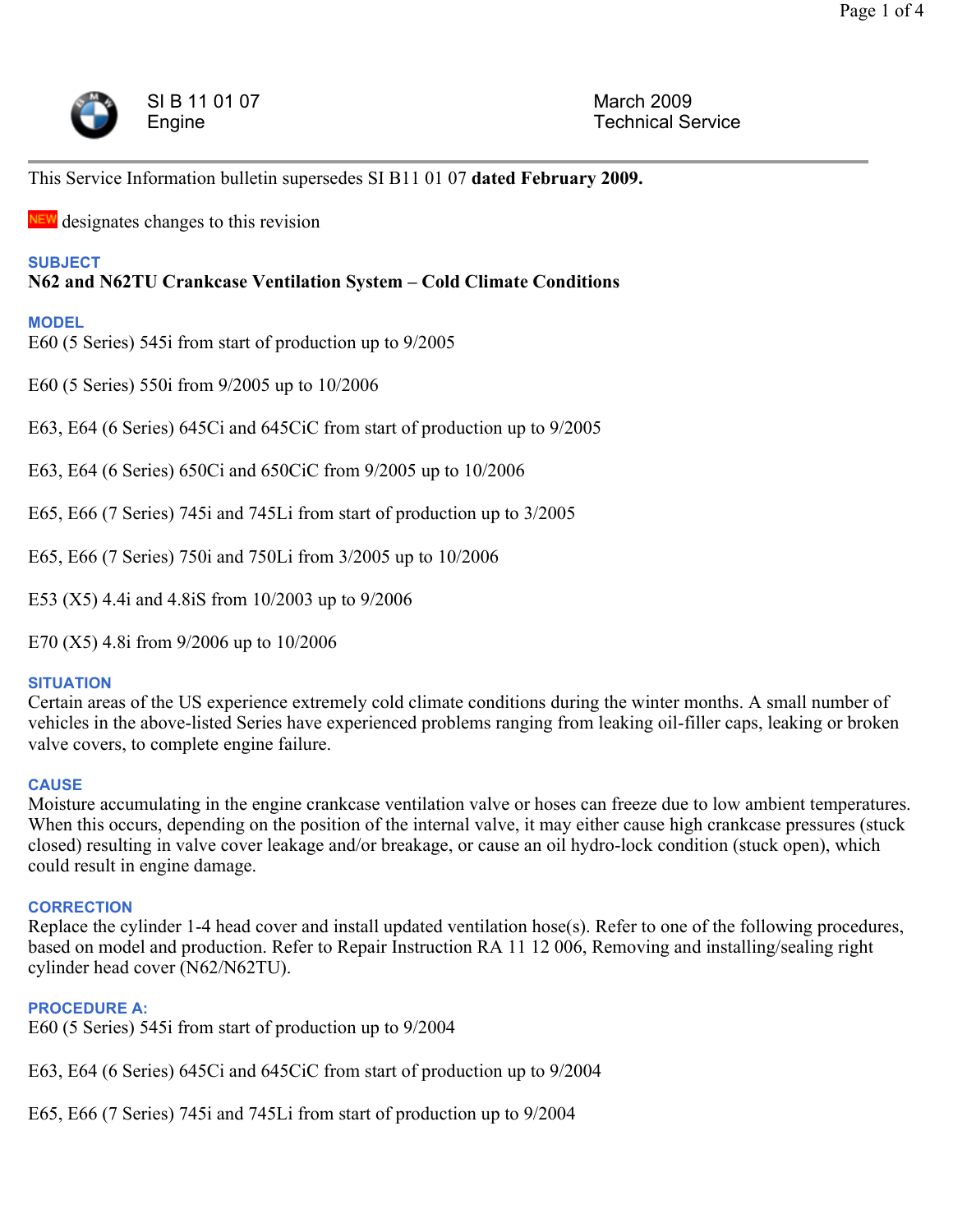

This Service Information bulletin supersedes SI B11 01 07 **dated February 2009.**

**NEW** designates changes to this revision

### **SUBJECT**

# **N62 and N62TU Crankcase Ventilation System – Cold Climate Conditions**

### **MODEL**

E60 (5 Series) 545i from start of production up to 9/2005

E60 (5 Series) 550i from 9/2005 up to 10/2006

E63, E64 (6 Series) 645Ci and 645CiC from start of production up to 9/2005

E63, E64 (6 Series) 650Ci and 650CiC from 9/2005 up to 10/2006

E65, E66 (7 Series) 745i and 745Li from start of production up to 3/2005

E65, E66 (7 Series) 750i and 750Li from 3/2005 up to 10/2006

E53 (X5) 4.4i and 4.8iS from 10/2003 up to 9/2006

E70 (X5) 4.8i from 9/2006 up to 10/2006

### **SITUATION**

Certain areas of the US experience extremely cold climate conditions during the winter months. A small number of vehicles in the above-listed Series have experienced problems ranging from leaking oil-filler caps, leaking or broken valve covers, to complete engine failure.

### **CAUSE**

Moisture accumulating in the engine crankcase ventilation valve or hoses can freeze due to low ambient temperatures. When this occurs, depending on the position of the internal valve, it may either cause high crankcase pressures (stuck closed) resulting in valve cover leakage and/or breakage, or cause an oil hydro-lock condition (stuck open), which could result in engine damage.

### **CORRECTION**

Replace the cylinder 1-4 head cover and install updated ventilation hose(s). Refer to one of the following procedures, based on model and production. Refer to Repair Instruction RA 11 12 006, Removing and installing/sealing right cylinder head cover (N62/N62TU).

### **PROCEDURE A:**

E60 (5 Series) 545i from start of production up to 9/2004

E63, E64 (6 Series) 645Ci and 645CiC from start of production up to 9/2004

E65, E66 (7 Series) 745i and 745Li from start of production up to 9/2004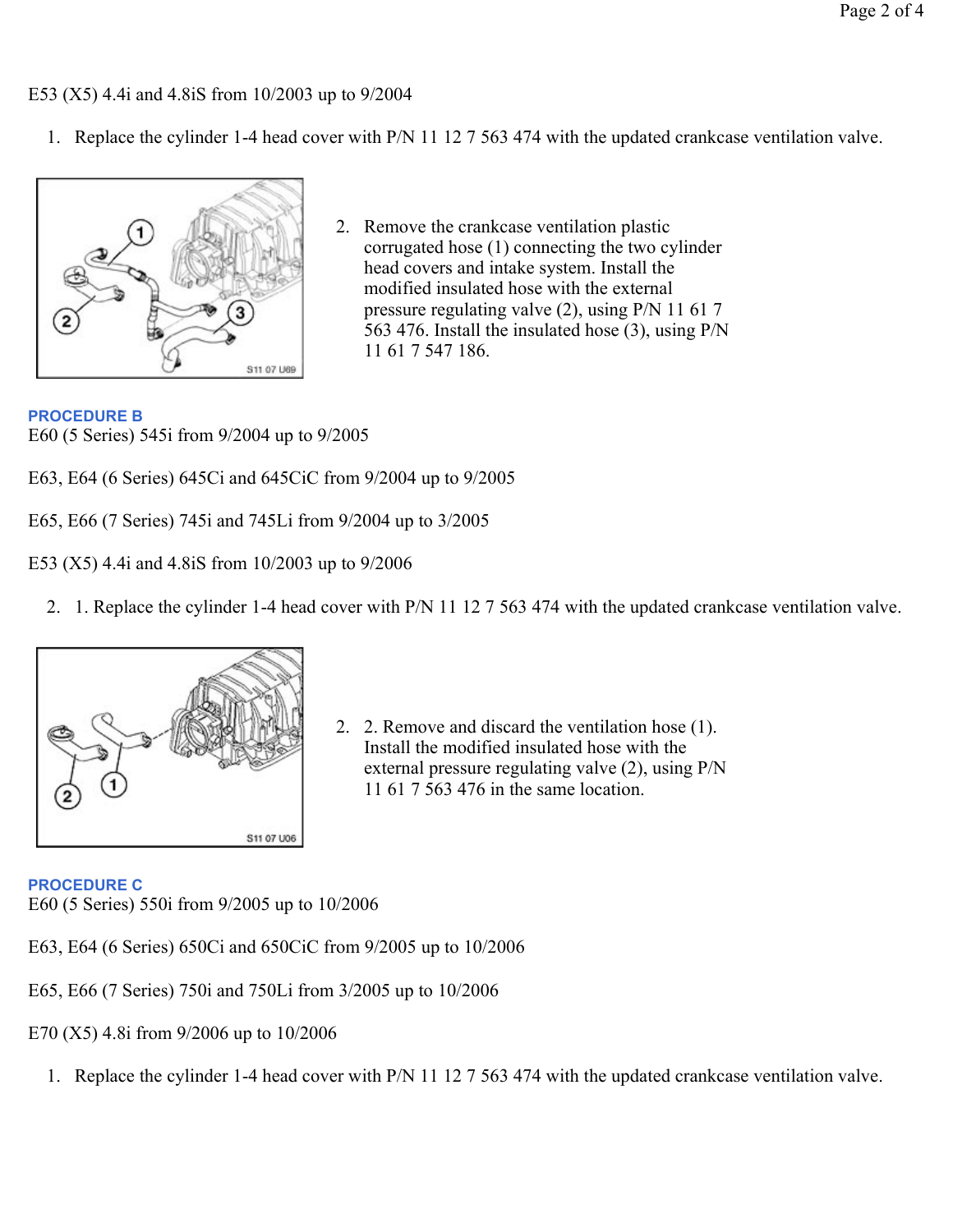E53 (X5) 4.4i and 4.8iS from 10/2003 up to 9/2004

1. Replace the cylinder 1-4 head cover with P/N 11 12 7 563 474 with the updated crankcase ventilation valve.



2. Remove the crankcase ventilation plastic corrugated hose (1) connecting the two cylinder head covers and intake system. Install the modified insulated hose with the external pressure regulating valve (2), using P/N 11 61 7 563 476. Install the insulated hose (3), using P/N 11 61 7 547 186.

## **PROCEDURE B**

E60 (5 Series) 545i from 9/2004 up to 9/2005

- E63, E64 (6 Series) 645Ci and 645CiC from 9/2004 up to 9/2005
- E65, E66 (7 Series) 745i and 745Li from 9/2004 up to 3/2005

E53 (X5) 4.4i and 4.8iS from 10/2003 up to 9/2006

2. 1. Replace the cylinder 1-4 head cover with P/N 11 12 7 563 474 with the updated crankcase ventilation valve.



2. 2. Remove and discard the ventilation hose (1). Install the modified insulated hose with the external pressure regulating valve (2), using P/N 11 61 7 563 476 in the same location.

**PROCEDURE C**

E60 (5 Series) 550i from 9/2005 up to 10/2006

- E63, E64 (6 Series) 650Ci and 650CiC from 9/2005 up to 10/2006
- E65, E66 (7 Series) 750i and 750Li from 3/2005 up to 10/2006
- E70 (X5) 4.8i from 9/2006 up to 10/2006
	- 1. Replace the cylinder 1-4 head cover with P/N 11 12 7 563 474 with the updated crankcase ventilation valve.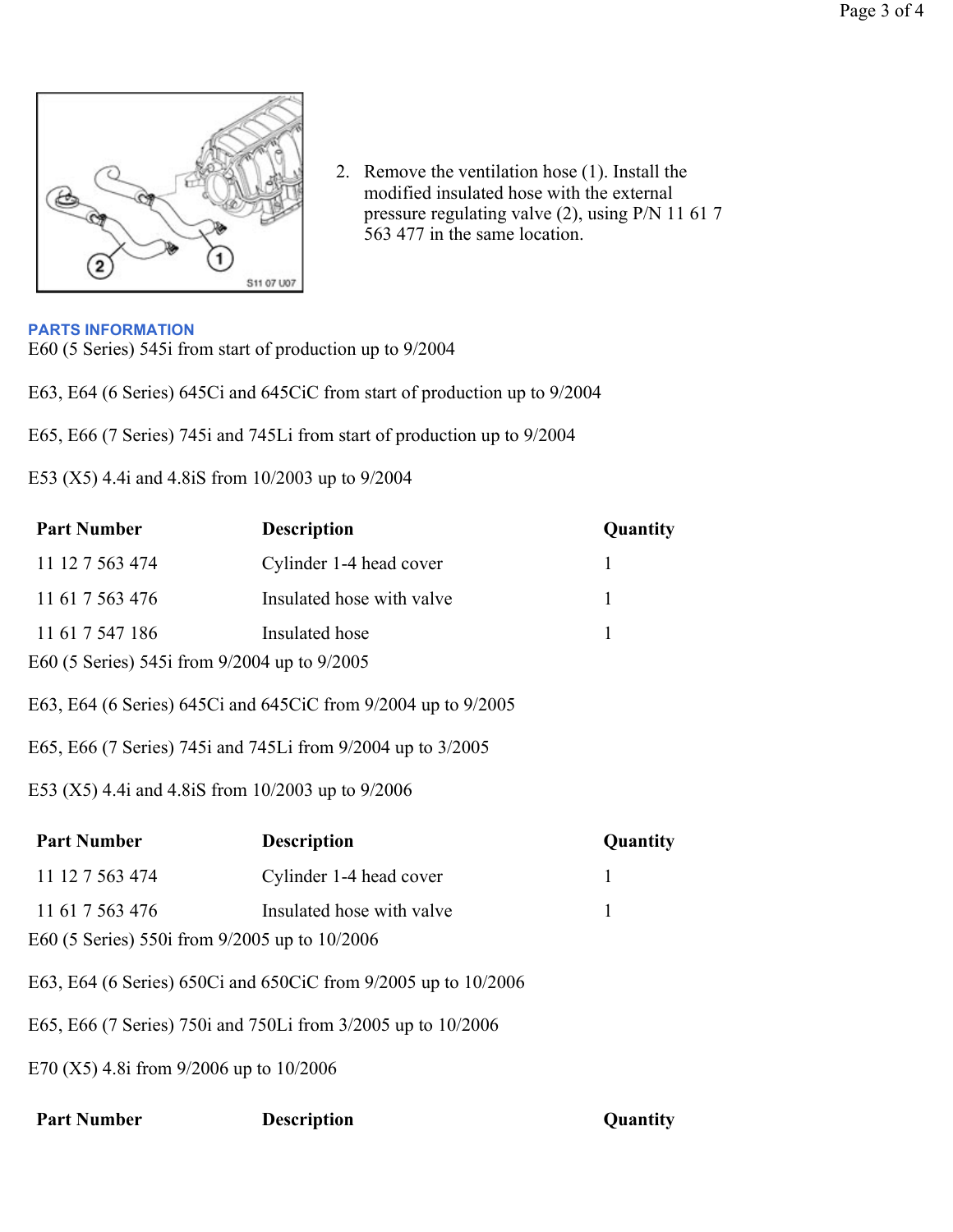

2. Remove the ventilation hose (1). Install the modified insulated hose with the external pressure regulating valve (2), using P/N 11 61 7 563 477 in the same location.

#### **PARTS INFORMATION**

E60 (5 Series) 545i from start of production up to 9/2004

E63, E64 (6 Series) 645Ci and 645CiC from start of production up to 9/2004

E65, E66 (7 Series) 745i and 745Li from start of production up to 9/2004

E53 (X5) 4.4i and 4.8iS from 10/2003 up to 9/2004

| <b>Part Number</b>                                            | <b>Description</b>                                             | Quantity     |  |  |  |
|---------------------------------------------------------------|----------------------------------------------------------------|--------------|--|--|--|
| 11 12 7 563 474                                               | Cylinder 1-4 head cover                                        | $\mathbf{1}$ |  |  |  |
| 11 61 7 563 476                                               | Insulated hose with valve                                      | 1            |  |  |  |
| 11 61 7 547 186                                               | Insulated hose                                                 | 1            |  |  |  |
| E60 (5 Series) 545i from 9/2004 up to 9/2005                  |                                                                |              |  |  |  |
| E63, E64 (6 Series) 645Ci and 645CiC from 9/2004 up to 9/2005 |                                                                |              |  |  |  |
| E65, E66 (7 Series) 745i and 745Li from 9/2004 up to 3/2005   |                                                                |              |  |  |  |
| E53 (X5) 4.4i and 4.8iS from 10/2003 up to 9/2006             |                                                                |              |  |  |  |
|                                                               |                                                                |              |  |  |  |
| <b>Part Number</b>                                            | <b>Description</b>                                             | Quantity     |  |  |  |
| 11 12 7 563 474                                               | Cylinder 1-4 head cover                                        | $\mathbf{1}$ |  |  |  |
| 11 61 7 563 476                                               | Insulated hose with valve                                      | 1            |  |  |  |
| E60 (5 Series) 550i from 9/2005 up to 10/2006                 |                                                                |              |  |  |  |
|                                                               | E63, E64 (6 Series) 650Ci and 650CiC from 9/2005 up to 10/2006 |              |  |  |  |
|                                                               | E65, E66 (7 Series) 750i and 750Li from 3/2005 up to 10/2006   |              |  |  |  |

| <b>Part Number</b> | Description |
|--------------------|-------------|
|--------------------|-------------|

**Part I Part I Quantity**